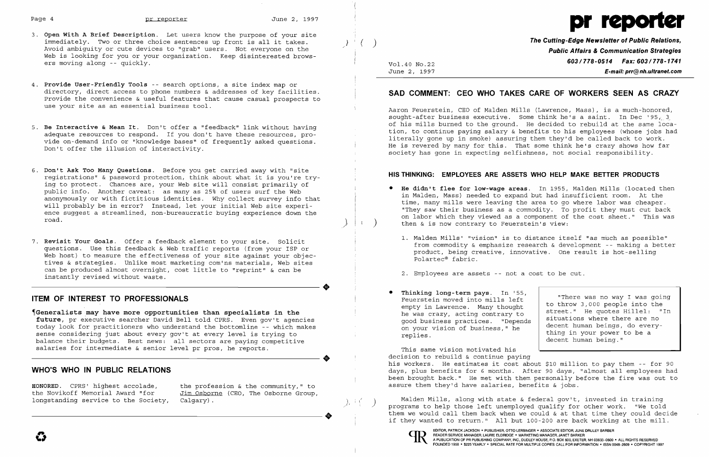

- 3. Open With A Brief Description. Let users know the purpose of your site immediately. Two or three choice sentences up front is all it takes.  $\begin{array}{c} \downarrow \\ \downarrow \end{array}$   $\begin{array}{c} \downarrow \\ \downarrow \end{array}$   $\begin{array}{c} \downarrow \\ \downarrow \end{array}$  The Cutting-Edge Newsletter of Public Relations,  $\begin{array}{ccc} \downarrow \\ \downarrow \end{array}$ Avoid ambiguity or cute devices to "grab" users. Not everyone on the Public Affairs & Communication Strategies<br>Web is looking for you or your organization. Keep disinterested brows- **Public Affairs & Communication Strategi** ers moving along -- quickly.<br>
Une 2, 1997<br>
Une 2, 1997
- 4. Provide User-Friendly Tools -- search options, a site index map or directory, direct access to phone numbers & addresses of key facilities. Provide the convenience & useful features that cause casual prospects to use your site as an essential business tool.
- 
- 6. Don't Ask Too Many Questions. Before you get carried away with "site **HIS THINKING: EMPLOYEES ARE ASSETS WHO HELP MAKE BETTER PRODUCTS** registrations" & password protection, think about what it is you're try- **HIS THINK** ing to protect. Chances are, your Web site will consist primarily of<br>public info. Another caveat: as many as 25% of users surf the Web ing to protect. Chances are, your Web site will consist primarily of<br>public info. Another caveat: as many as 25% of users surf the Web anonymously or with fictitious identities. Why collect survey info that<br>will probably b will probably be in error? Instead, let your initial Web site experi-<br>ence suggest a streamlined, non-bureaucratic buying experience down the on labor which they saw their business as a commodity. To profit they must cut back<br>ence suggest a streamlined, non-bureaucratic buying experience down the cost sheet." This was component of the cost sheet." This was compo
- 7. Revisit Your Goals. Offer a feedback element to your site. Solicit and the Mills' "vision" is to distance itself "as much as possible"<br>questions. Use this feedback & Web traffic reports (from your ISP or "From commodity can be produced almost overnight, cost little to "reprint" & can be<br>can be produced almost overnight, cost little to "reprint" & can be<br>instantly revised without waste.

 $E$ -mail: prr@nh.ultranet.com

 Aaron Feuerstein, CEO of Malden Mills (Lawrence, Mass), is a much-honored, sought-after business executive. Some think he's a saint. In Dec '95, 3.<br>of his mills burned to the ground. He decided to rebuild at the same loca-5. Be Interactive & Mean It. Don't offer a "feedback" link without having<br>adequate resources to respond. If you don't have these resources, pro-<br>vide on-demand info or "knowledge bases" of frequently asked questions.<br>Don't

- then  $\&$  is now contrary to Feuerstein's view:
	-
	-
- Thinking long-term pays. In '55,<br>Feuerstein moved into mills left ITEM OF INTEREST TO PROFESSIONALS<br>
Feuerstein moved into mills left<br>
empty in Lawrence. Many thought on your vision of business," he replies.

Generalists may have more opportunities than specialists in the the the the was crazy, acting contrary to future, prexecutive searcher David Bell told CPRS. Even gov't agencies than searcher and the he was crazy, acting co future, pr executive searcher David Bell told CPRS. Even gov't agencies today look for practitioners who understand the bottomline -- which makes sense considering just about every gov't at every level is trying to balance their budgets. Best news: all sectors are paying competitive salaries for intermediate & senior level pr pros, he reports.

HONORED. CPRS' highest accolade, the profession & the community," to assure them they'd have salaries, benefits & jobs.<br>the Novikoff Memorial Award "for Jim Osborne (CEO, The Osborne Group, Jim Osborne (CEO, The Osborne Group, longstanding service to the Society,  $Calgary$ ).<br>  $\qquad \qquad$ 

# SAD COMMENT: CEO WHO TAKES CARE OF WORKERS SEEN AS CRAZY

/

**•** 

"There was no way I was going to throw 3,000 people into the street. " He quotes Hillel: "In situations where there are no decent human beings, do everything in your power to be a decent human being."

 This same vision motivated his This same vision motivated his<br>decision to rebuild & continue paying<br>his workers. He estimates it cost abo<br>davs. nlus benefits for 6 months. Aft about \$10 million to pay them -- for 90 WHO'S WHO IN PUBLIC RELATIONS days, plus benefits for 6 months. After 90 days, "almost all employees had been brought back." He met with them personally before the fire was out to

Malden Mills, along with state & federal gov't, invested in training programs to help those left unemployed qualify for other work. "We told them we would call them back when we could & at that time they could decide ----------------------. them we would call them back when we could & at that time they could decide if they wanted to return." All but 100-200 are back working at the mill.